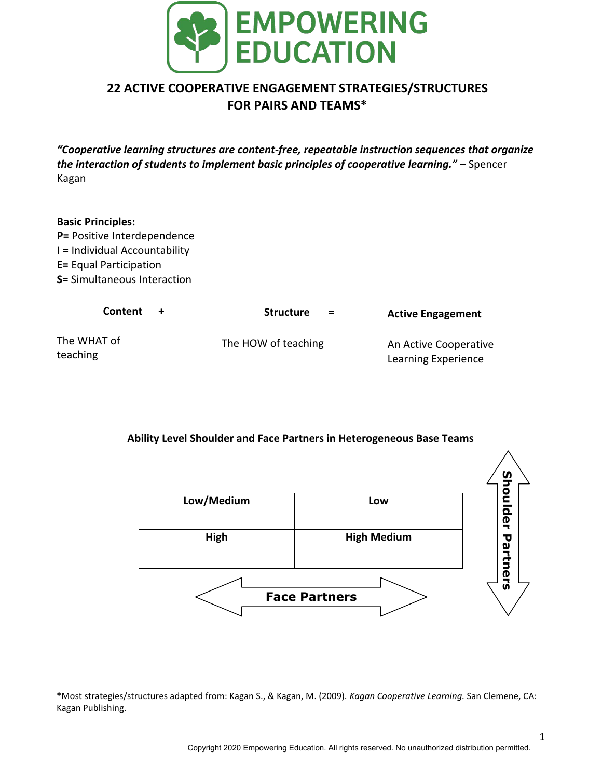

# **22 ACTIVE COOPERATIVE ENGAGEMENT STRATEGIES/STRUCTURES FOR PAIRS AND TEAMS\***

*"Cooperative learning structures are content-free, repeatable instruction sequences that organize the interaction of students to implement basic principles of cooperative learning."* – Spencer Kagan

# **Basic Principles:**

**P=** Positive Interdependence **I =** Individual Accountability **E=** Equal Participation **S=** Simultaneous Interaction

| <b>Content</b>          | <b>Structure</b><br>$=$ | <b>Active Engagement</b>                     |
|-------------------------|-------------------------|----------------------------------------------|
| The WHAT of<br>teaching | The HOW of teaching     | An Active Cooperative<br>Learning Experience |

# **Ability Level Shoulder and Face Partners in Heterogeneous Base Teams**



**\***Most strategies/structures adapted from: Kagan S., & Kagan, M. (2009). *Kagan Cooperative Learning.* San Clemene, CA: Kagan Publishing.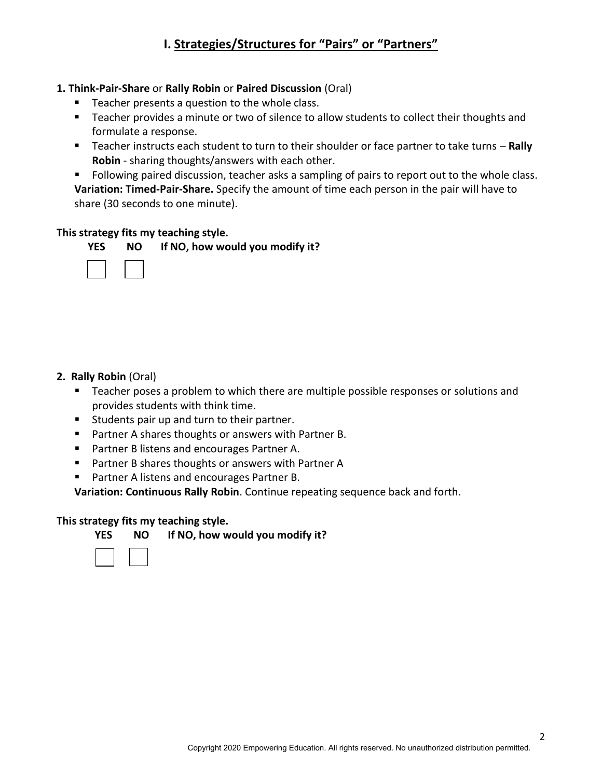# **1. Think-Pair-Share** or **Rally Robin** or **Paired Discussion** (Oral)

- Teacher presents a question to the whole class.
- Teacher provides a minute or two of silence to allow students to collect their thoughts and formulate a response.
- Teacher instructs each student to turn to their shoulder or face partner to take turns **Rally Robin** - sharing thoughts/answers with each other.

Following paired discussion, teacher asks a sampling of pairs to report out to the whole class. **Variation: Timed-Pair-Share.** Specify the amount of time each person in the pair will have to share (30 seconds to one minute).

## **This strategy fits my teaching style.**

|        | YES NO If NO, how would you modify it? |
|--------|----------------------------------------|
| $\Box$ |                                        |

# **2. Rally Robin** (Oral)

- Teacher poses a problem to which there are multiple possible responses or solutions and provides students with think time.
- **Students pair up and turn to their partner.**
- Partner A shares thoughts or answers with Partner B.
- **Partner B listens and encourages Partner A.**
- Partner B shares thoughts or answers with Partner A
- **Partner A listens and encourages Partner B.**

**Variation: Continuous Rally Robin**. Continue repeating sequence back and forth.

#### **This strategy fits my teaching style.**

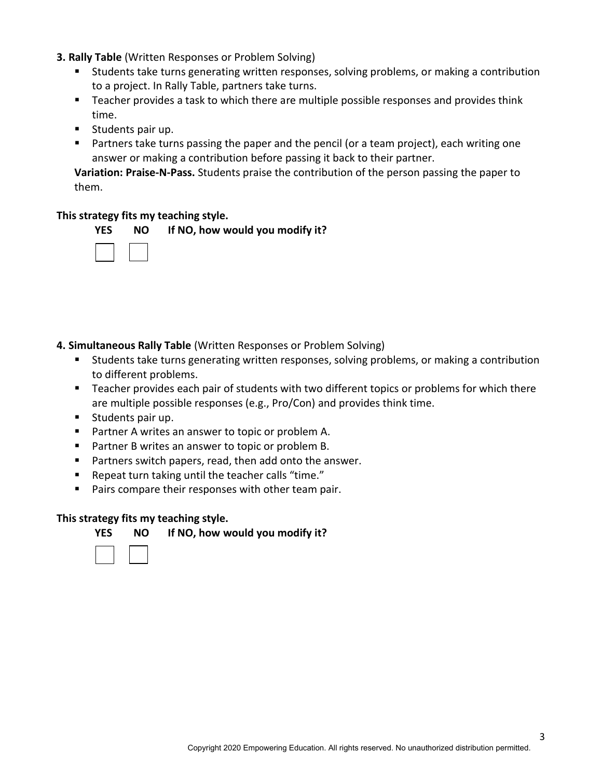- **3. Rally Table** (Written Responses or Problem Solving)
	- Students take turns generating written responses, solving problems, or making a contribution to a project. In Rally Table, partners take turns.
	- **Teacher provides a task to which there are multiple possible responses and provides think** time.
	- **Students pair up.**
	- Partners take turns passing the paper and the pencil (or a team project), each writing one answer or making a contribution before passing it back to their partner.

**Variation: Praise-N-Pass.** Students praise the contribution of the person passing the paper to them.

## **This strategy fits my teaching style.**



**4. Simultaneous Rally Table** (Written Responses or Problem Solving)

- Students take turns generating written responses, solving problems, or making a contribution to different problems.
- **Teacher provides each pair of students with two different topics or problems for which there** are multiple possible responses (e.g., Pro/Con) and provides think time.
- Students pair up.
- **Partner A writes an answer to topic or problem A.**
- Partner B writes an answer to topic or problem B.
- **Partners switch papers, read, then add onto the answer.**
- Repeat turn taking until the teacher calls "time."
- **Pairs compare their responses with other team pair.**

#### **This strategy fits my teaching style.**

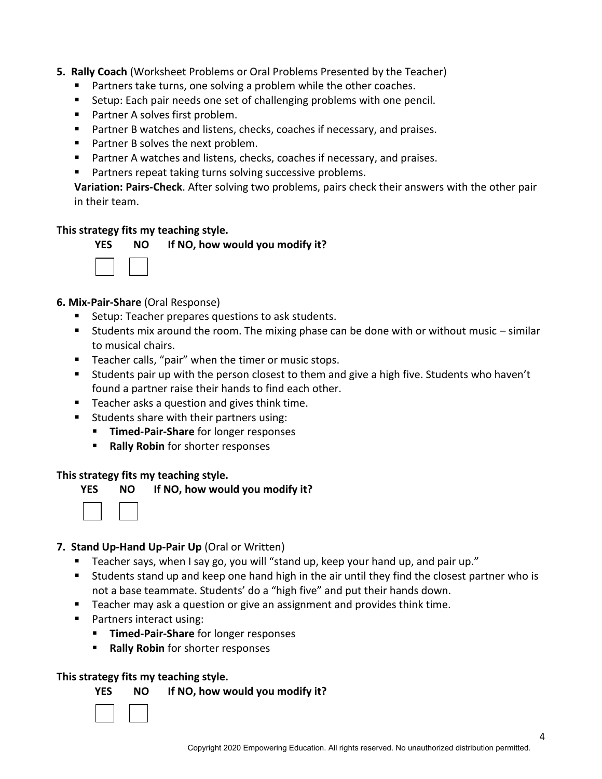## **5. Rally Coach** (Worksheet Problems or Oral Problems Presented by the Teacher)

- **Partners take turns, one solving a problem while the other coaches.**
- Setup: Each pair needs one set of challenging problems with one pencil.
- Partner A solves first problem.
- **Partner B watches and listens, checks, coaches if necessary, and praises.**
- Partner B solves the next problem.
- **Partner A watches and listens, checks, coaches if necessary, and praises.**
- **Partners repeat taking turns solving successive problems.**

**Variation: Pairs-Check**. After solving two problems, pairs check their answers with the other pair in their team.

#### **This strategy fits my teaching style.**



 **YES NO If NO, how would you modify it?** 

# **6. Mix-Pair-Share** (Oral Response)

- Setup: Teacher prepares questions to ask students.
- Students mix around the room. The mixing phase can be done with or without music  $-$  similar to musical chairs.
- Teacher calls, "pair" when the timer or music stops.
- Students pair up with the person closest to them and give a high five. Students who haven't found a partner raise their hands to find each other.
- Teacher asks a question and gives think time.
- **Students share with their partners using:** 
	- **Timed-Pair-Share** for longer responses
	- **Rally Robin** for shorter responses

#### **This strategy fits my teaching style.**



**YES NO If NO, how would you modify it?** 



# **7. Stand Up-Hand Up-Pair Up** (Oral or Written)

- Teacher says, when I say go, you will "stand up, keep your hand up, and pair up."
- Students stand up and keep one hand high in the air until they find the closest partner who is not a base teammate. Students' do a "high five" and put their hands down.
- Teacher may ask a question or give an assignment and provides think time.
- Partners interact using:
	- **Timed-Pair-Share** for longer responses
	- **Rally Robin** for shorter responses

#### **This strategy fits my teaching style.**

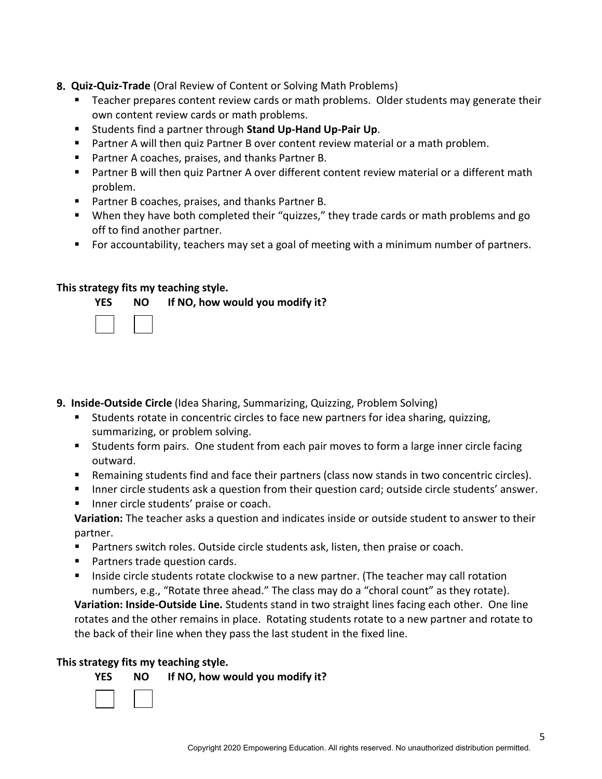## **8. Quiz-Quiz-Trade** (Oral Review of Content or Solving Math Problems)

- Teacher prepares content review cards or math problems. Older students may generate their own content review cards or math problems.
- Students find a partner through **Stand Up-Hand Up-Pair Up**.
- Partner A will then quiz Partner B over content review material or a math problem.
- **Partner A coaches, praises, and thanks Partner B.**
- Partner B will then quiz Partner A over different content review material or a different math problem.
- **Partner B coaches, praises, and thanks Partner B.**
- When they have both completed their "quizzes," they trade cards or math problems and go off to find another partner.
- For accountability, teachers may set a goal of meeting with a minimum number of partners.

# **This strategy fits my teaching style.**



# **9. Inside-Outside Circle** (Idea Sharing, Summarizing, Quizzing, Problem Solving)

- Students rotate in concentric circles to face new partners for idea sharing, quizzing, summarizing, or problem solving.
- Students form pairs. One student from each pair moves to form a large inner circle facing outward.
- **EXECT** Remaining students find and face their partners (class now stands in two concentric circles).
- Inner circle students ask a question from their question card; outside circle students' answer.
- Inner circle students' praise or coach.

**Variation:** The teacher asks a question and indicates inside or outside student to answer to their partner.

- **Partners switch roles. Outside circle students ask, listen, then praise or coach.**
- Partners trade question cards.
- Inside circle students rotate clockwise to a new partner. (The teacher may call rotation numbers, e.g., "Rotate three ahead." The class may do a "choral count" as they rotate).

**Variation: Inside-Outside Line.** Students stand in two straight lines facing each other. One line rotates and the other remains in place. Rotating students rotate to a new partner and rotate to the back of their line when they pass the last student in the fixed line.

#### **This strategy fits my teaching style.**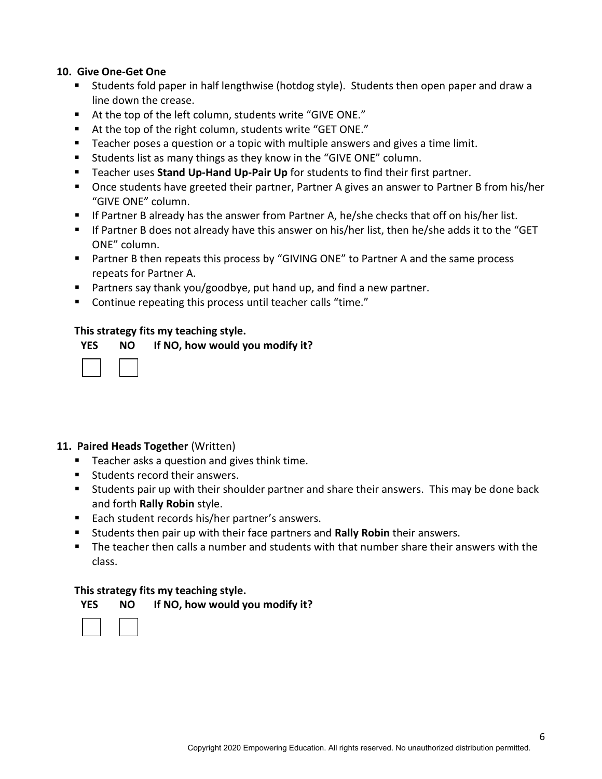#### **10. Give One-Get One**

- Students fold paper in half lengthwise (hotdog style). Students then open paper and draw a line down the crease.
- At the top of the left column, students write "GIVE ONE."
- At the top of the right column, students write "GET ONE."
- Teacher poses a question or a topic with multiple answers and gives a time limit.
- **Students list as many things as they know in the "GIVE ONE" column.**
- Teacher uses **Stand Up-Hand Up-Pair Up** for students to find their first partner.
- Once students have greeted their partner, Partner A gives an answer to Partner B from his/her "GIVE ONE" column.
- If Partner B already has the answer from Partner A, he/she checks that off on his/her list.
- If Partner B does not already have this answer on his/her list, then he/she adds it to the "GET ONE" column.
- **Partner B then repeats this process by "GIVING ONE" to Partner A and the same process** repeats for Partner A.
- Partners say thank you/goodbye, put hand up, and find a new partner.
- Continue repeating this process until teacher calls "time."

# **This strategy fits my teaching style.**

| <b>YES</b> | <b>NO</b> | If NO, how would you modify it? |
|------------|-----------|---------------------------------|
|------------|-----------|---------------------------------|

# **11. Paired Heads Together** (Written)

- Teacher asks a question and gives think time.
- **Students record their answers.**
- Students pair up with their shoulder partner and share their answers. This may be done back and forth **Rally Robin** style.
- Each student records his/her partner's answers.
- Students then pair up with their face partners and **Rally Robin** their answers.
- The teacher then calls a number and students with that number share their answers with the class.

# **This strategy fits my teaching style.**

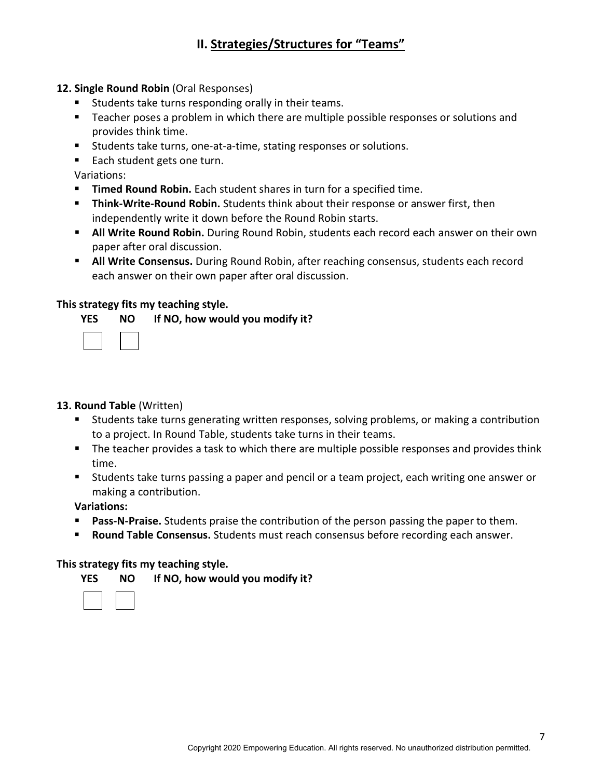# **II. Strategies/Structures for "Teams"**

#### **12. Single Round Robin** (Oral Responses)

- **Students take turns responding orally in their teams.**
- Teacher poses a problem in which there are multiple possible responses or solutions and provides think time.
- Students take turns, one-at-a-time, stating responses or solutions.
- Each student gets one turn.

Variations:

- **Timed Round Robin.** Each student shares in turn for a specified time.
- **Think-Write-Round Robin.** Students think about their response or answer first, then independently write it down before the Round Robin starts.
- **All Write Round Robin.** During Round Robin, students each record each answer on their own paper after oral discussion.
- **All Write Consensus.** During Round Robin, after reaching consensus, students each record each answer on their own paper after oral discussion.

## **This strategy fits my teaching style.**

**YES NO If NO, how would you modify it?** 

#### **13. Round Table** (Written)

- Students take turns generating written responses, solving problems, or making a contribution to a project. In Round Table, students take turns in their teams.
- The teacher provides a task to which there are multiple possible responses and provides think time.
- Students take turns passing a paper and pencil or a team project, each writing one answer or making a contribution.

**Variations:** 

- **Pass-N-Praise.** Students praise the contribution of the person passing the paper to them.
- **Round Table Consensus.** Students must reach consensus before recording each answer.

#### **This strategy fits my teaching style.**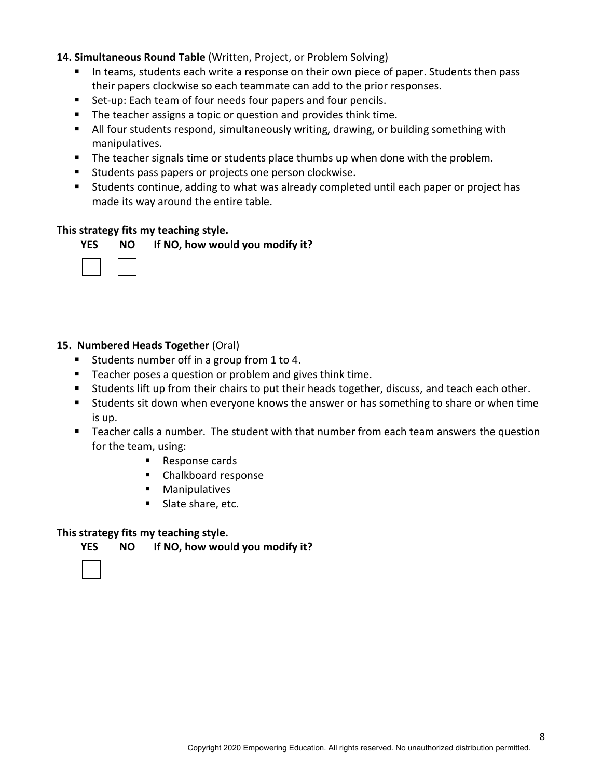#### **14. Simultaneous Round Table** (Written, Project, or Problem Solving)

- In teams, students each write a response on their own piece of paper. Students then pass their papers clockwise so each teammate can add to the prior responses.
- Set-up: Each team of four needs four papers and four pencils.
- **The teacher assigns a topic or question and provides think time.**
- All four students respond, simultaneously writing, drawing, or building something with manipulatives.
- The teacher signals time or students place thumbs up when done with the problem.
- **Students pass papers or projects one person clockwise.**
- Students continue, adding to what was already completed until each paper or project has made its way around the entire table.

#### **This strategy fits my teaching style.**





## **15. Numbered Heads Together** (Oral)

- Students number off in a group from 1 to 4.
- **Teacher poses a question or problem and gives think time.**
- Students lift up from their chairs to put their heads together, discuss, and teach each other.
- **Students sit down when everyone knows the answer or has something to share or when time** is up.
- **Teacher calls a number. The student with that number from each team answers the question** for the team, using:
	- Response cards
	- Chalkboard response
	- **Manipulatives**
	- Slate share, etc.

# **This strategy fits my teaching style.**

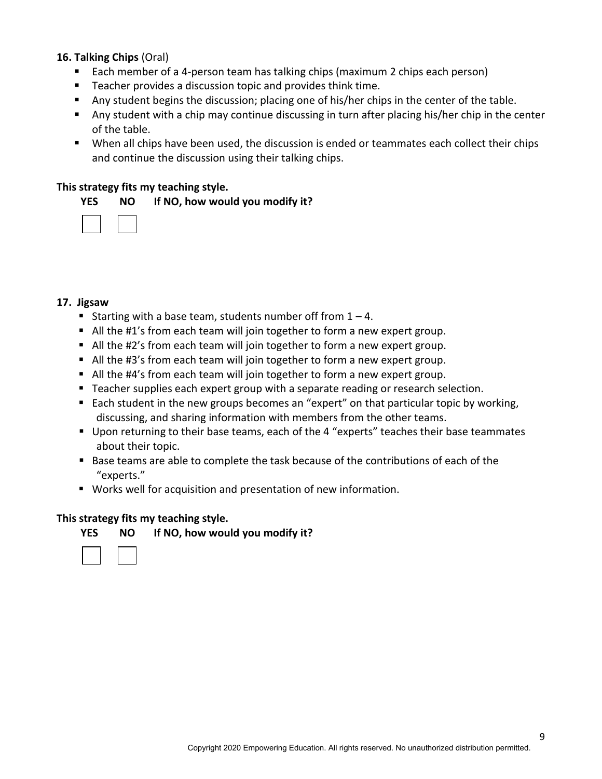#### **16. Talking Chips** (Oral)

- Each member of a 4-person team has talking chips (maximum 2 chips each person)
- Teacher provides a discussion topic and provides think time.
- Any student begins the discussion; placing one of his/her chips in the center of the table.
- Any student with a chip may continue discussing in turn after placing his/her chip in the center of the table.
- When all chips have been used, the discussion is ended or teammates each collect their chips and continue the discussion using their talking chips.

#### **This strategy fits my teaching style.**

#### **YES NO If NO, how would you modify it?**

#### **17. Jigsaw**

- Starting with a base team, students number off from  $1 4$ .
- All the #1's from each team will join together to form a new expert group.
- All the #2's from each team will join together to form a new expert group.
- All the #3's from each team will join together to form a new expert group.
- All the #4's from each team will join together to form a new expert group.
- **Teacher supplies each expert group with a separate reading or research selection.**
- Each student in the new groups becomes an "expert" on that particular topic by working, discussing, and sharing information with members from the other teams.
- Upon returning to their base teams, each of the 4 "experts" teaches their base teammates about their topic.
- Base teams are able to complete the task because of the contributions of each of the "experts."
- Works well for acquisition and presentation of new information.

#### **This strategy fits my teaching style.**

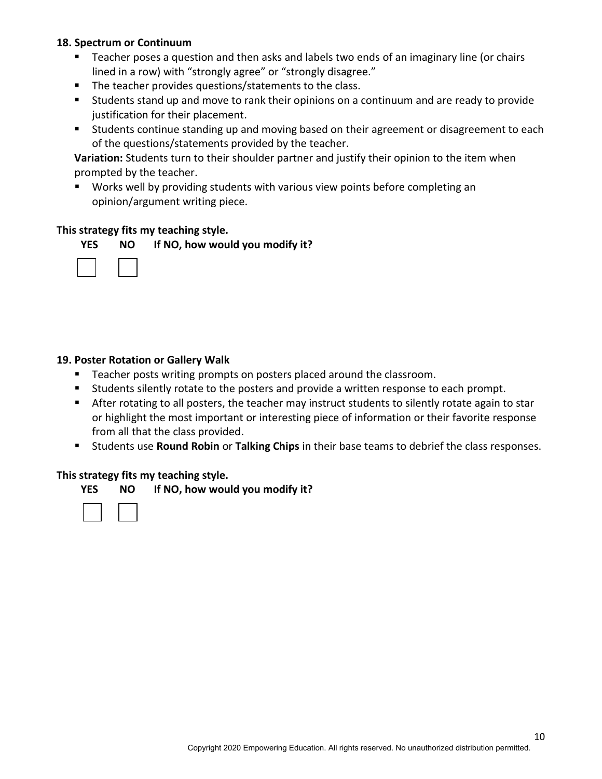## **18. Spectrum or Continuum**

- Teacher poses a question and then asks and labels two ends of an imaginary line (or chairs lined in a row) with "strongly agree" or "strongly disagree."
- The teacher provides questions/statements to the class.
- Students stand up and move to rank their opinions on a continuum and are ready to provide justification for their placement.
- **Students continue standing up and moving based on their agreement or disagreement to each** of the questions/statements provided by the teacher.

**Variation:** Students turn to their shoulder partner and justify their opinion to the item when prompted by the teacher.

 Works well by providing students with various view points before completing an opinion/argument writing piece.

#### **This strategy fits my teaching style.**





## **19. Poster Rotation or Gallery Walk**

- **Teacher posts writing prompts on posters placed around the classroom.**
- **Students silently rotate to the posters and provide a written response to each prompt.**
- After rotating to all posters, the teacher may instruct students to silently rotate again to star or highlight the most important or interesting piece of information or their favorite response from all that the class provided.
- Students use **Round Robin** or **Talking Chips** in their base teams to debrief the class responses.

#### **This strategy fits my teaching style.**

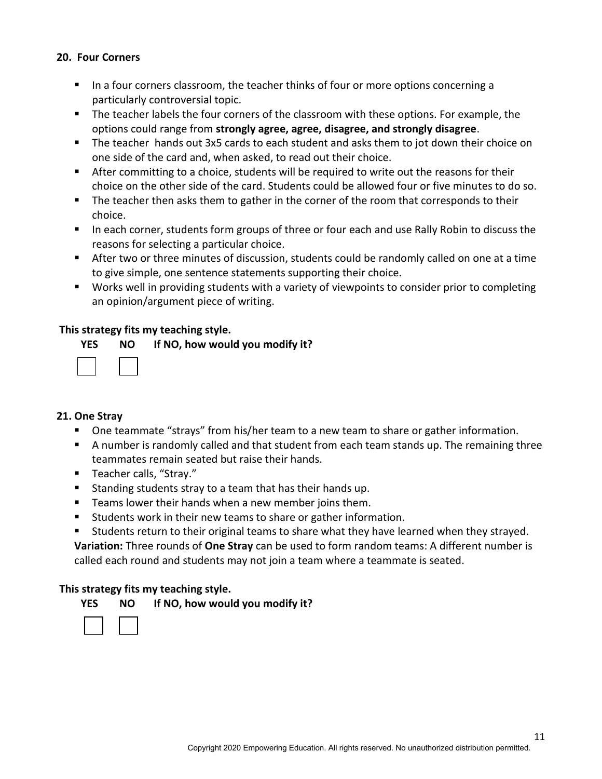## **20. Four Corners**

- In a four corners classroom, the teacher thinks of four or more options concerning a particularly controversial topic.
- The teacher labels the four corners of the classroom with these options. For example, the options could range from **strongly agree, agree, disagree, and strongly disagree**.
- The teacher hands out 3x5 cards to each student and asks them to jot down their choice on one side of the card and, when asked, to read out their choice.
- After committing to a choice, students will be required to write out the reasons for their choice on the other side of the card. Students could be allowed four or five minutes to do so.
- The teacher then asks them to gather in the corner of the room that corresponds to their choice.
- In each corner, students form groups of three or four each and use Rally Robin to discuss the reasons for selecting a particular choice.
- After two or three minutes of discussion, students could be randomly called on one at a time to give simple, one sentence statements supporting their choice.
- **Works well in providing students with a variety of viewpoints to consider prior to completing** an opinion/argument piece of writing.

## **This strategy fits my teaching style.**

|                          | YES NO If NO, how would you modify it? |
|--------------------------|----------------------------------------|
| $\overline{\phantom{0}}$ |                                        |

#### **21. One Stray**

- One teammate "strays" from his/her team to a new team to share or gather information.
- A number is randomly called and that student from each team stands up. The remaining three teammates remain seated but raise their hands.
- Teacher calls, "Stray."
- Standing students stray to a team that has their hands up.
- **Teams lower their hands when a new member joins them.**
- Students work in their new teams to share or gather information.
- Students return to their original teams to share what they have learned when they strayed.

**Variation:** Three rounds of **One Stray** can be used to form random teams: A different number is called each round and students may not join a team where a teammate is seated.

#### **This strategy fits my teaching style.**